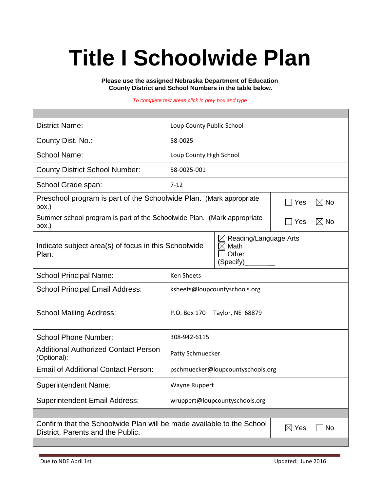# **Title I Schoolwide Plan**

**Please use the assigned Nebraska Department of Education County District and School Numbers in the table below.**

#### *To complete text areas click in grey box and type*

| <b>District Name:</b>                                                                                                               | Loup County Public School         |  |  |  |  |  |
|-------------------------------------------------------------------------------------------------------------------------------------|-----------------------------------|--|--|--|--|--|
| County Dist. No.:                                                                                                                   | 58-0025                           |  |  |  |  |  |
| <b>School Name:</b>                                                                                                                 | Loup County High School           |  |  |  |  |  |
| <b>County District School Number:</b>                                                                                               | 58-0025-001                       |  |  |  |  |  |
| School Grade span:                                                                                                                  | $7 - 12$                          |  |  |  |  |  |
| Preschool program is part of the Schoolwide Plan. (Mark appropriate<br>$\boxtimes$ No<br>Yes<br>box.)                               |                                   |  |  |  |  |  |
| Summer school program is part of the Schoolwide Plan. (Mark appropriate<br>box.)                                                    | $\boxtimes$ No<br>Yes             |  |  |  |  |  |
| Reading/Language Arts<br>$\bowtie$<br>Indicate subject area(s) of focus in this Schoolwide<br>Math<br>Other<br>Plan.<br>(Specify)   |                                   |  |  |  |  |  |
| <b>School Principal Name:</b>                                                                                                       | Ken Sheets                        |  |  |  |  |  |
| <b>School Principal Email Address:</b>                                                                                              | ksheets@loupcountyschools.org     |  |  |  |  |  |
| <b>School Mailing Address:</b>                                                                                                      | P.O. Box 170<br>Taylor, NE 68879  |  |  |  |  |  |
| <b>School Phone Number:</b>                                                                                                         | 308-942-6115                      |  |  |  |  |  |
| <b>Additional Authorized Contact Person</b><br>(Optional):                                                                          | Patty Schmuecker                  |  |  |  |  |  |
| <b>Email of Additional Contact Person:</b>                                                                                          | pschmuecker@loupcountyschools.org |  |  |  |  |  |
| <b>Superintendent Name:</b>                                                                                                         | Wayne Ruppert                     |  |  |  |  |  |
| <b>Superintendent Email Address:</b>                                                                                                | wruppert@loupcountyschools.org    |  |  |  |  |  |
|                                                                                                                                     |                                   |  |  |  |  |  |
| Confirm that the Schoolwide Plan will be made available to the School<br>$\boxtimes$ Yes<br>No<br>District, Parents and the Public. |                                   |  |  |  |  |  |
|                                                                                                                                     |                                   |  |  |  |  |  |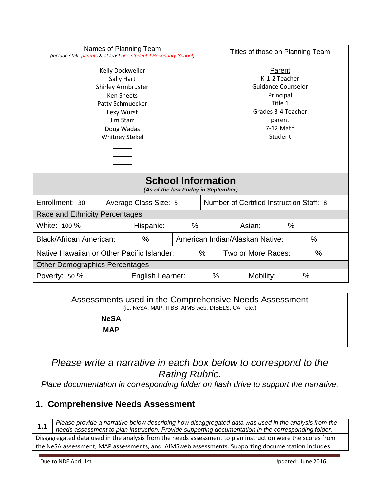| Names of Planning Team<br>(include staff, parents & at least one student if Secondary School)       |            | Titles of those on Planning Team |                                          |                            |               |  |                |  |
|-----------------------------------------------------------------------------------------------------|------------|----------------------------------|------------------------------------------|----------------------------|---------------|--|----------------|--|
|                                                                                                     |            |                                  |                                          |                            |               |  |                |  |
| Kelly Dockweiler                                                                                    |            |                                  | Parent                                   |                            |               |  |                |  |
|                                                                                                     | Sally Hart |                                  |                                          |                            | K-1-2 Teacher |  |                |  |
| Shirley Armbruster                                                                                  |            |                                  | <b>Guidance Counselor</b>                |                            |               |  |                |  |
| <b>Ken Sheets</b>                                                                                   |            |                                  | Principal                                |                            |               |  |                |  |
| Patty Schmuecker                                                                                    |            |                                  | Title 1                                  |                            |               |  |                |  |
| Lexy Wurst                                                                                          |            |                                  | Grades 3-4 Teacher                       |                            |               |  |                |  |
| <b>Jim Starr</b>                                                                                    |            |                                  | parent                                   |                            |               |  |                |  |
| Doug Wadas                                                                                          |            |                                  | 7-12 Math                                |                            |               |  |                |  |
| <b>Whitney Stekel</b>                                                                               |            |                                  | Student                                  |                            |               |  |                |  |
|                                                                                                     |            |                                  |                                          |                            |               |  |                |  |
|                                                                                                     |            |                                  |                                          |                            |               |  |                |  |
|                                                                                                     |            |                                  |                                          |                            |               |  |                |  |
| <b>School Information</b>                                                                           |            |                                  |                                          |                            |               |  |                |  |
| (As of the last Friday in September)                                                                |            |                                  |                                          |                            |               |  |                |  |
| Enrollment: 30                                                                                      |            | Average Class Size: 5            | Number of Certified Instruction Staff: 8 |                            |               |  |                |  |
| Race and Ethnicity Percentages                                                                      |            |                                  |                                          |                            |               |  |                |  |
| White: 100 %                                                                                        |            | Hispanic:                        | $\%$                                     |                            |               |  | $\%$<br>Asian: |  |
| $\frac{0}{0}$<br>American Indian/Alaskan Native:<br>$\frac{0}{0}$<br><b>Black/African American:</b> |            |                                  |                                          |                            |               |  |                |  |
| Native Hawaiian or Other Pacific Islander:<br>$\%$                                                  |            |                                  |                                          | Two or More Races:<br>$\%$ |               |  |                |  |
| <b>Other Demographics Percentages</b>                                                               |            |                                  |                                          |                            |               |  |                |  |
| Poverty: 50 %                                                                                       |            | English Learner:                 |                                          |                            | %             |  | Mobility:<br>% |  |

| Assessments used in the Comprehensive Needs Assessment<br>(ie. NeSA, MAP, ITBS, AIMS web, DIBELS, CAT etc.) |  |  |
|-------------------------------------------------------------------------------------------------------------|--|--|
| <b>NeSA</b>                                                                                                 |  |  |
| <b>MAP</b>                                                                                                  |  |  |
|                                                                                                             |  |  |

*Please write a narrative in each box below to correspond to the Rating Rubric.* 

*Place documentation in corresponding folder on flash drive to support the narrative.*

# **1. Comprehensive Needs Assessment**

**1.1** *Please provide a narrative below describing how disaggregated data was used in the analysis from the needs assessment to plan instruction. Provide supporting documentation in the corresponding folder.*

Disaggregated data used in the analysis from the needs assessment to plan instruction were the scores from the NeSA assessment, MAP assessments, and AIMSweb assessments. Supporting documentation includes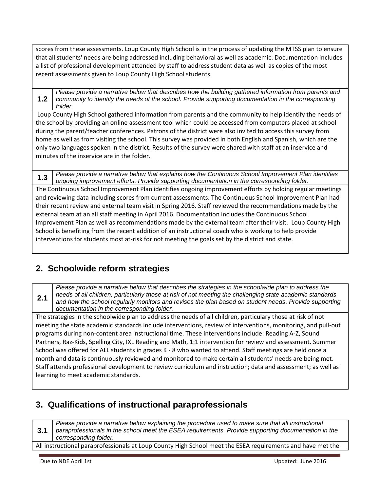scores from these assessments. Loup County High School is in the process of updating the MTSS plan to ensure that all students' needs are being addressed including behavioral as well as academic. Documentation includes a list of professional development attended by staff to address student data as well as copies of the most recent assessments given to Loup County High School students.

**1.2** *Please provide a narrative below that describes how the building gathered information from parents and community to identify the needs of the school. Provide supporting documentation in the corresponding folder.*

Loup County High School gathered information from parents and the community to help identify the needs of the school by providing an online assessment tool which could be accessed from computers placed at school during the parent/teacher conferences. Patrons of the district were also invited to access this survey from home as well as from visiting the school. This survey was provided in both English and Spanish, which are the only two languages spoken in the district. Results of the survey were shared with staff at an inservice and minutes of the inservice are in the folder.

**1.3** *Please provide a narrative below that explains how the Continuous School Improvement Plan identifies ongoing improvement efforts. Provide supporting documentation in the corresponding folder.* The Continuous School Improvement Plan identifies ongoing improvement efforts by holding regular meetings and reviewing data including scores from current assessments. The Continuous School Improvement Plan had their recent review and external team visit in Spring 2016. Staff reviewed the recommendations made by the external team at an all staff meeting in April 2016. Documentation includes the Continuous School Improvement Plan as well as recommendations made by the external team after their visit. Loup County High School is benefiting from the recent addition of an instructional coach who is working to help provide interventions for students most at-risk for not meeting the goals set by the district and state.

# **2. Schoolwide reform strategies**

*Please provide a narrative below that describes the strategies in the schoolwide plan to address the needs of all children, particularly those at risk of not meeting the challenging state academic standards and how the school regularly monitors and revises the plan based on student needs. Provide supporting documentation in the corresponding folder.*

The strategies in the schoolwide plan to address the needs of all children, particulary those at risk of not meeting the state academic standards include interventions, review of interventions, monitoring, and pull-out programs during non-content area instructional time. These interventions include: Reading A-Z, Sound Partners, Raz-Kids, Spelling City, IXL Reading and Math, 1:1 intervention for review and assessment. Summer School was offered for ALL students in grades K - 8 who wanted to attend. Staff meetings are held once a month and data is continuously reviewed and monitored to make certain all students' needs are being met. Staff attends professional development to review curriculum and instruction; data and assessment; as well as learning to meet academic standards.

# **3. Qualifications of instructional paraprofessionals**

**3.1** *Please provide a narrative below explaining the procedure used to make sure that all instructional paraprofessionals in the school meet the ESEA requirements. Provide supporting documentation in the corresponding folder.* All instructional paraprofessionals at Loup County High School meet the ESEA requirements and have met the

**2.1**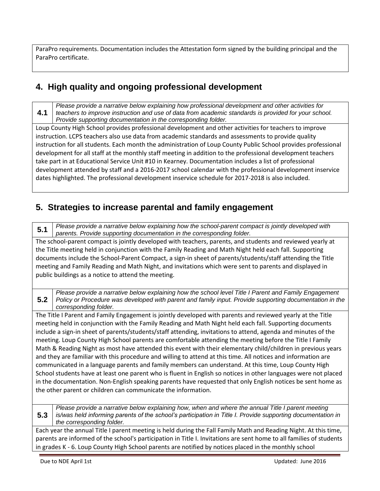ParaPro requirements. Documentation includes the Attestation form signed by the building principal and the ParaPro certificate.

# **4. High quality and ongoing professional development**

**4.1** *Please provide a narrative below explaining how professional development and other activities for teachers to improve instruction and use of data from academic standards is provided for your school. Provide supporting documentation in the corresponding folder.*

Loup County High School provides professional development and other activities for teachers to improve instruction. LCPS teachers also use data from academic standards and assessments to provide quality instruction for all students. Each month the administration of Loup County Public School provides professional development for all staff at the monthly staff meeting in addition to the professional development teachers take part in at Educational Service Unit #10 in Kearney. Documentation includes a list of professional development attended by staff and a 2016-2017 school calendar with the professional development inservice dates highlighted. The professional development inservice schedule for 2017-2018 is also included.

## **5. Strategies to increase parental and family engagement**

**5.1** *Please provide a narrative below explaining how the school-parent compact is jointly developed with parents. Provide supporting documentation in the corresponding folder.*

The school-parent compact is jointly developed with teachers, parents, and students and reviewed yearly at the Title meeting held in conjunction with the Family Reading and Math Night held each fall. Supporting documents include the School-Parent Compact, a sign-in sheet of parents/students/staff attending the Title meeting and Family Reading and Math Night, and invitations which were sent to parents and displayed in public buildings as a notice to attend the meeting.

**5.2** *Please provide a narrative below explaining how the school level Title I Parent and Family Engagement Policy or Procedure was developed with parent and family input. Provide supporting documentation in the corresponding folder.*

The Title I Parent and Family Engagement is jointly developed with parents and reviewed yearly at the Title meeting held in conjunction with the Family Reading and Math Night held each fall. Supporting documents include a sign-in sheet of parents/students/staff attending, invitations to attend, agenda and minutes of the meeting. Loup County High School parents are comfortable attending the meeting before the Title I Family Math & Reading Night as most have attended this event with their elementary child/children in previous years and they are familiar with this procedure and willing to attend at this time. All notices and information are communicated in a language parents and family members can understand. At this time, Loup County High School students have at least one parent who is fluent in English so notices in other languages were not placed in the documentation. Non-English speaking parents have requested that only English notices be sent home as the other parent or children can communicate the information.

**5.3** *Please provide a narrative below explaining how, when and where the annual Title I parent meeting is/was held informing parents of the school's participation in Title I. Provide supporting documentation in the corresponding folder.*

Each year the annual Title I parent meeting is held during the Fall Family Math and Reading Night. At this time, parents are informed of the school's participation in Title I. Invitations are sent home to all families of students in grades K - 6. Loup County High School parents are notified by notices placed in the monthly school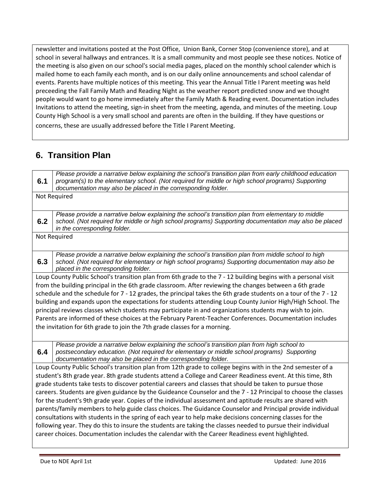newsletter and invitations posted at the Post Office, Union Bank, Corner Stop (convenience store), and at school in several hallways and entrances. It is a small community and most people see these notices. Notice of the meeting is also given on our school's social media pages, placed on the monthly school calender which is mailed home to each family each month, and is on our daily online announcements and school calendar of events. Parents have multiple notices of this meeting. This year the Annual Title I Parent meeting was held preceeding the Fall Family Math and Reading Night as the weather report predicted snow and we thought people would want to go home immediately after the Family Math & Reading event. Documentation includes Invitations to attend the meeting, sign-in sheet from the meeting, agenda, and minutes of the meeting. Loup County High School is a very small school and parents are often in the building. If they have questions or concerns, these are usually addressed before the Title I Parent Meeting.

# **6. Transition Plan**

|                                                                                                                | Please provide a narrative below explaining the school's transition plan from early childhood education         |  |  |
|----------------------------------------------------------------------------------------------------------------|-----------------------------------------------------------------------------------------------------------------|--|--|
| 6.1                                                                                                            | program(s) to the elementary school. (Not required for middle or high school programs) Supporting               |  |  |
|                                                                                                                |                                                                                                                 |  |  |
|                                                                                                                | documentation may also be placed in the corresponding folder.                                                   |  |  |
|                                                                                                                | Not Required                                                                                                    |  |  |
|                                                                                                                |                                                                                                                 |  |  |
|                                                                                                                | Please provide a narrative below explaining the school's transition plan from elementary to middle              |  |  |
| 6.2                                                                                                            | school. (Not required for middle or high school programs) Supporting documentation may also be placed           |  |  |
|                                                                                                                | in the corresponding folder.                                                                                    |  |  |
|                                                                                                                | Not Required                                                                                                    |  |  |
|                                                                                                                |                                                                                                                 |  |  |
|                                                                                                                | Please provide a narrative below explaining the school's transition plan from middle school to high             |  |  |
| 6.3                                                                                                            | school. (Not required for elementary or high school programs) Supporting documentation may also be              |  |  |
|                                                                                                                | placed in the corresponding folder.                                                                             |  |  |
|                                                                                                                | Loup County Public School's transition plan from 6th grade to the 7 - 12 building begins with a personal visit  |  |  |
| from the building principal in the 6th grade classroom. After reviewing the changes between a 6th grade        |                                                                                                                 |  |  |
|                                                                                                                | schedule and the schedule for 7 - 12 grades, the principal takes the 6th grade students on a tour of the 7 - 12 |  |  |
|                                                                                                                | building and expands upon the expectations for students attending Loup County Junior High/High School. The      |  |  |
| principal reviews classes which students may participate in and organizations students may wish to join.       |                                                                                                                 |  |  |
|                                                                                                                | Parents are informed of these choices at the February Parent-Teacher Conferences. Documentation includes        |  |  |
| the invitation for 6th grade to join the 7th grade classes for a morning.                                      |                                                                                                                 |  |  |
|                                                                                                                |                                                                                                                 |  |  |
|                                                                                                                | Please provide a narrative below explaining the school's transition plan from high school to                    |  |  |
| 6.4                                                                                                            | postsecondary education. (Not required for elementary or middle school programs) Supporting                     |  |  |
|                                                                                                                | documentation may also be placed in the corresponding folder.                                                   |  |  |
|                                                                                                                | Loup County Public School's transition plan from 12th grade to college begins with in the 2nd semester of a     |  |  |
|                                                                                                                | student's 8th grade year. 8th grade students attend a College and Career Readiness event. At this time, 8th     |  |  |
|                                                                                                                | grade students take tests to discover potential careers and classes that should be taken to pursue those        |  |  |
|                                                                                                                |                                                                                                                 |  |  |
| careers. Students are given guidance by the Guideance Counselor and the 7 - 12 Principal to choose the classes |                                                                                                                 |  |  |
| for the student's 9th grade year. Copies of the individual assessment and aptitude results are shared with     |                                                                                                                 |  |  |
| parents/family members to help guide class choices. The Guidance Counselor and Principal provide individual    |                                                                                                                 |  |  |
| consultations with students in the spring of each year to help make decisions concerning classes for the       |                                                                                                                 |  |  |
| following year. They do this to insure the students are taking the classes needed to pursue their individual   |                                                                                                                 |  |  |
| career choices. Documentation includes the calendar with the Career Readiness event highlighted.               |                                                                                                                 |  |  |
|                                                                                                                |                                                                                                                 |  |  |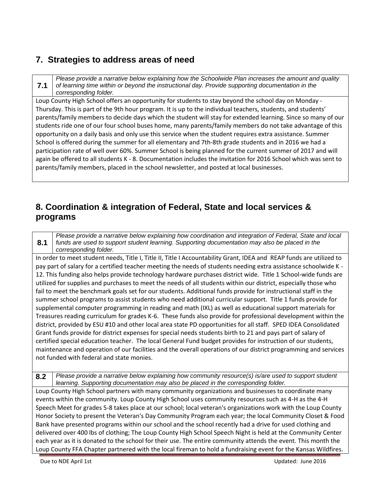#### **7. Strategies to address areas of need**

**7.1**

*Please provide a narrative below explaining how the Schoolwide Plan increases the amount and quality of learning time within or beyond the instructional day. Provide supporting documentation in the corresponding folder.*

Loup County High School offers an opportunity for students to stay beyond the school day on Monday - Thursday. This is part of the 9th hour program. It is up to the individual teachers, students, and students' parents/family members to decide days which the student will stay for extended learning. Since so many of our students ride one of our four school buses home, many parents/family members do not take advantage of this opportunity on a daily basis and only use this service when the student requires extra assistance. Summer School is offered during the summer for all elementary and 7th-8th grade students and in 2016 we had a participation rate of well over 60%. Summer School is being planned for the current summer of 2017 and will again be offered to all students K - 8. Documentation includes the invitation for 2016 School which was sent to parents/family members, placed in the school newsletter, and posted at local businesses.

## **8. Coordination & integration of Federal, State and local services & programs**

**8.1** *Please provide a narrative below explaining how coordination and integration of Federal, State and local funds are used to support student learning. Supporting documentation may also be placed in the corresponding folder.*

In order to meet student needs, Title I, Title II, Title I Accountability Grant, IDEA and REAP funds are utilized to pay part of salary for a certified teacher meeting the needs of students needing extra assistance schoolwide K - 12. This funding also helps provide technology hardware purchases district wide. Title 1 School-wide funds are utilized for supplies and purchases to meet the needs of all students within our district, especially those who fail to meet the benchmark goals set for our students. Additional funds provide for instructional staff in the summer school programs to assist students who need additional curricular support. Title 1 funds provide for supplemental computer programming in reading and math (IXL) as well as educational support materials for Treasures reading curriculum for grades K-6. These funds also provide for professional development within the district, provided by ESU #10 and other local area state PD opportunities for all staff. SPED IDEA Consolidated Grant funds provide for district expenses for special needs students birth to 21 and pays part of salary of certified special education teacher. The local General Fund budget provides for instruction of our students, maintenance and operation of our facilities and the overall operations of our district programming and services not funded with federal and state monies.

**8.2** *Please provide a narrative below explaining how community resource(s) is/are used to support student learning. Supporting documentation may also be placed in the corresponding folder.*

Loup County High School partners with many community organizations and businesses to coordinate many events within the community. Loup County High School uses community resources such as 4-H as the 4-H Speech Meet for grades 5-8 takes place at our school; local veteran's organizations work with the Loup County Honor Society to present the Veteran's Day Community Program each year; the local Community Closet & Food Bank have presented programs within our school and the school recently had a drive for used clothing and delivered over 400 lbs of clothing; The Loup County High School Speech Night is held at the Community Center each year as it is donated to the school for their use. The entire community attends the event. This month the Loup County FFA Chapter partnered with the local fireman to hold a fundraising event for the Kansas Wildfires.